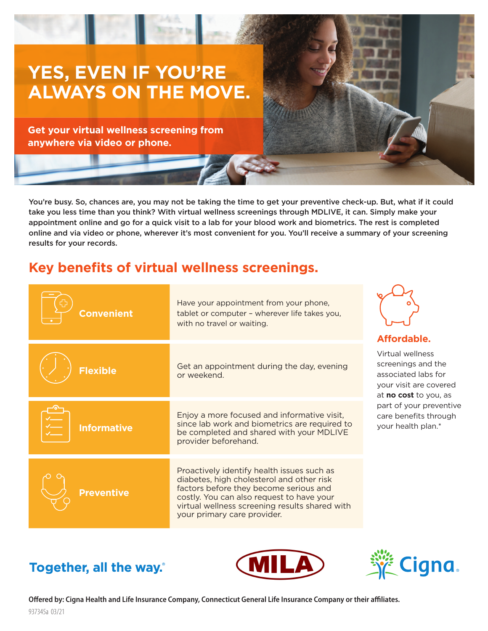

You're busy. So, chances are, you may not be taking the time to get your preventive check-up. But, what if it could take you less time than you think? With virtual wellness screenings through MDLIVE, it can. Simply make your appointment online and go for a quick visit to a lab for your blood work and biometrics. The rest is completed online and via video or phone, wherever it's most convenient for you. You'll receive a summary of your screening results for your records.

# **Key benefits of virtual wellness screenings.**

| <b>Convenient</b>  | Have your appointment from your phone,<br>tablet or computer - wherever life takes you,<br>with no travel or waiting.                                                                                                                                           | Affordable.                                                                                                                                                                                       |
|--------------------|-----------------------------------------------------------------------------------------------------------------------------------------------------------------------------------------------------------------------------------------------------------------|---------------------------------------------------------------------------------------------------------------------------------------------------------------------------------------------------|
| <b>Flexible</b>    | Get an appointment during the day, evening<br>or weekend.                                                                                                                                                                                                       | Virtual wellness<br>screenings and the<br>associated labs for<br>your visit are covered<br>at <b>no cost</b> to you, as<br>part of your preventive<br>care benefits through<br>your health plan.* |
| <b>Informative</b> | Enjoy a more focused and informative visit,<br>since lab work and biometrics are required to<br>be completed and shared with your MDLIVE<br>provider beforehand.                                                                                                |                                                                                                                                                                                                   |
| <b>Preventive</b>  | Proactively identify health issues such as<br>diabetes, high cholesterol and other risk<br>factors before they become serious and<br>costly. You can also request to have your<br>virtual wellness screening results shared with<br>your primary care provider. |                                                                                                                                                                                                   |

# Together, all the way.





**Offered by: Cigna Health and Life Insurance Company, Connecticut General Life Insurance Company or their affiliates.**  937345a 03/21